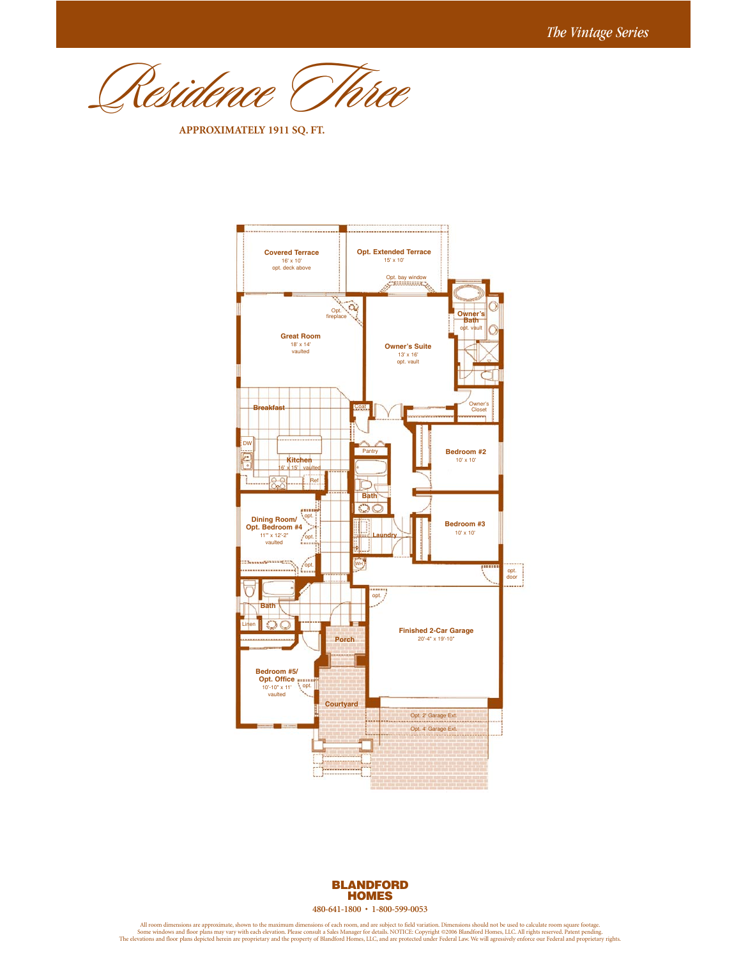Residence Three

**APPROXIMATELY 1911 SQ. FT.**





All room dimensions are approximate, shown to the maximum dimensions of each room, and are subject to field variation. Dimensions should not be used to calculate room square footage.<br>Some windows and floor plans may vary w